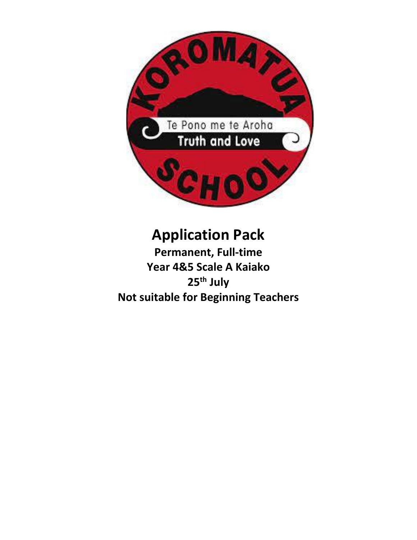

# **Application Pack**

**Permanent, Full-time Year 4&5 Scale A Kaiako 25th July Not suitable for Beginning Teachers**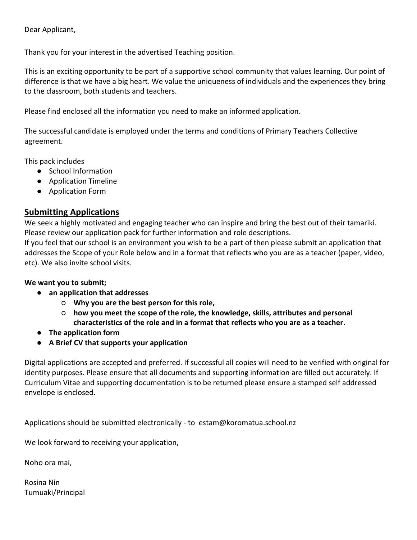Dear Applicant,

Thank you for your interest in the advertised Teaching position.

This is an exciting opportunity to be part of a supportive school community that values learning. Our point of difference is that we have a big heart. We value the uniqueness of individuals and the experiences they bring to the classroom, both students and teachers.

Please find enclosed all the information you need to make an informed application.

The successful candidate is employed under the terms and conditions of Primary Teachers Collective agreement.

This pack includes

- School Information
- Application Timeline
- Application Form

## **Submitting Applications**

We seek a highly motivated and engaging teacher who can inspire and bring the best out of their tamariki. Please review our application pack for further information and role descriptions.

If you feel that our school is an environment you wish to be a part of then please submit an application that addresses the Scope of your Role below and in a format that reflects who you are as a teacher (paper, video, etc). We also invite school visits.

#### **We want you to submit;**

- **an application that addresses** 
	- **Why you are the best person for this role,**
	- **how you meet the scope of the role, the knowledge, skills, attributes and personal characteristics of the role and in a format that reflects who you are as a teacher.**
- **The application form**
- **A Brief CV that supports your application**

Digital applications are accepted and preferred. If successful all copies will need to be verified with original for identity purposes. Please ensure that all documents and supporting information are filled out accurately. If Curriculum Vitae and supporting documentation is to be returned please ensure a stamped self addressed envelope is enclosed.

Applications should be submitted electronically - to estam@koromatua.school.nz

We look forward to receiving your application,

Noho ora mai,

Rosina Nin Tumuaki/Principal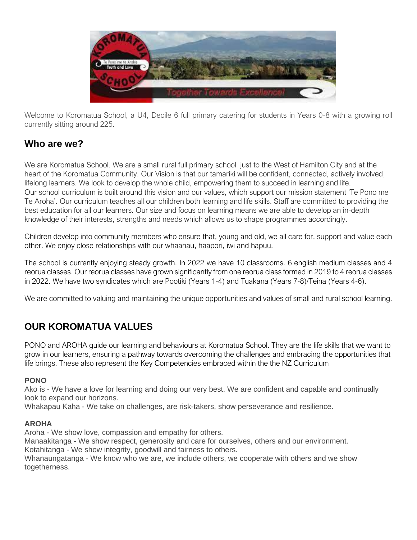

Welcome to Koromatua School, a U4, Decile 6 full primary catering for students in Years 0-8 with a growing roll currently sitting around 225.

# **Who are we?**

We are Koromatua School. We are a small rural full primary school just to the West of Hamilton City and at the heart of the Koromatua Community. Our Vision is that our tamariki will be confident, connected, actively involved, lifelong learners. We look to develop the whole child, empowering them to succeed in learning and life. Our school curriculum is built around this vision and our values, which support our mission statement 'Te Pono me Te Aroha'. Our curriculum teaches all our children both learning and life skills. Staff are committed to providing the best education for all our learners. Our size and focus on learning means we are able to develop an in-depth knowledge of their interests, strengths and needs which allows us to shape programmes accordingly.

Children develop into community members who ensure that, young and old, we all care for, support and value each other. We enjoy close relationships with our whaanau, haapori, iwi and hapuu.

The school is currently enjoying steady growth. In 2022 we have 10 classrooms. 6 english medium classes and 4 reorua classes. Our reorua classes have grown significantly from one reorua class formed in 2019 to 4 reorua classes in 2022. We have two syndicates which are Pootiki (Years 1-4) and Tuakana (Years 7-8)/Teina (Years 4-6).

We are committed to valuing and maintaining the unique opportunities and values of small and rural school learning.

# **OUR KOROMATUA VALUES**

PONO and AROHA guide our learning and behaviours at Koromatua School. They are the life skills that we want to grow in our learners, ensuring a pathway towards overcoming the challenges and embracing the opportunities that life brings. These also represent the Key Competencies embraced within the the NZ Curriculum

## **PONO**

Ako is - We have a love for learning and doing our very best. We are confident and capable and continually look to expand our horizons.

Whakapau Kaha - We take on challenges, are risk-takers, show perseverance and resilience.

## **AROHA**

Aroha - We show love, compassion and empathy for others. Manaakitanga - We show respect, generosity and care for ourselves, others and our environment. Kotahitanga - We show integrity, goodwill and fairness to others. Whanaungatanga - We know who we are, we include others, we cooperate with others and we show togetherness.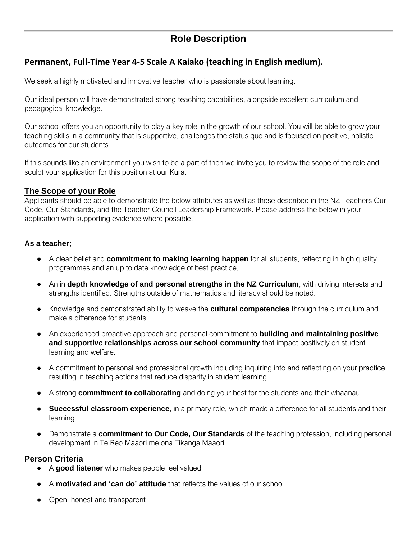# **Role Description**

## **Permanent, Full-Time Year 4-5 Scale A Kaiako (teaching in English medium).**

We seek a highly motivated and innovative teacher who is passionate about learning.

Our ideal person will have demonstrated strong teaching capabilities, alongside excellent curriculum and pedagogical knowledge.

Our school offers you an opportunity to play a key role in the growth of our school. You will be able to grow your teaching skills in a community that is supportive, challenges the status quo and is focused on positive, holistic outcomes for our students.

If this sounds like an environment you wish to be a part of then we invite you to review the scope of the role and sculpt your application for this position at our Kura.

## **The Scope of your Role**

Applicants should be able to demonstrate the below attributes as well as those described in the NZ Teachers Our Code, Our Standards, and the Teacher Council Leadership Framework. Please address the below in your application with supporting evidence where possible.

### **As a teacher;**

- A clear belief and **commitment to making learning happen** for all students, reflecting in high quality programmes and an up to date knowledge of best practice,
- An in **depth knowledge of and personal strengths in the NZ Curriculum**, with driving interests and strengths identified. Strengths outside of mathematics and literacy should be noted.
- Knowledge and demonstrated ability to weave the **cultural competencies** through the curriculum and make a difference for students
- An experienced proactive approach and personal commitment to **building and maintaining positive and supportive relationships across our school community** that impact positively on student learning and welfare.
- A commitment to personal and professional growth including inquiring into and reflecting on your practice resulting in teaching actions that reduce disparity in student learning.
- A strong **commitment to collaborating** and doing your best for the students and their whaanau.
- **Successful classroom experience**, in a primary role, which made a difference for all students and their learning.
- Demonstrate a **commitment to Our Code, Our Standards** of the teaching profession, including personal development in Te Reo Maaori me ona Tikanga Maaori.

## **Person Criteria**

- A good listener who makes people feel valued
- A **motivated and 'can do' attitude** that reflects the values of our school
- Open, honest and transparent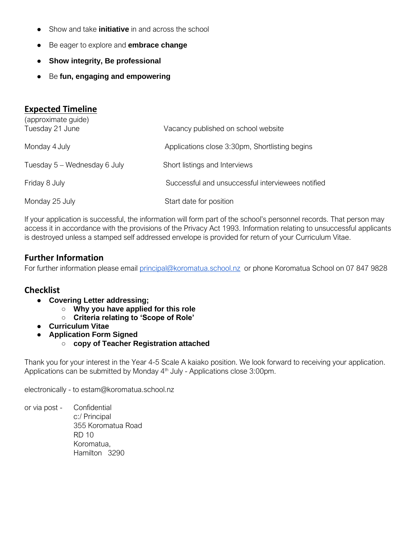- Show and take **initiative** in and across the school
- Be eager to explore and **embrace change**
- **Show integrity, Be professional**
- Be fun, engaging and empowering

## **Expected Timeline**

| (approximate guide)<br>Tuesday 21 June | Vacancy published on school website               |
|----------------------------------------|---------------------------------------------------|
| Monday 4 July                          | Applications close 3:30pm, Shortlisting begins    |
| Tuesday 5 – Wednesday 6 July           | Short listings and Interviews                     |
| Friday 8 July                          | Successful and unsuccessful interviewees notified |
| Monday 25 July                         | Start date for position                           |

If your application is successful, the information will form part of the school's personnel records. That person may access it in accordance with the provisions of the Privacy Act 1993. Information relating to unsuccessful applicants is destroyed unless a stamped self addressed envelope is provided for return of your Curriculum Vitae.

## **Further Information**

For further information please email [principal@koromatua.school.nz](mailto:principal@koromatua.school.nz) or phone Koromatua School on 07 847 9828

## **Checklist**

- **Covering Letter addressing;**
	- **Why you have applied for this role**
	- **Criteria relating to 'Scope of Role'**
- **Curriculum Vitae**
- **Application Form Signed** 
	- **copy of Teacher Registration attached**

Thank you for your interest in the Year 4-5 Scale A kaiako position. We look forward to receiving your application. Applications can be submitted by Monday 4<sup>th</sup> July - Applications close 3:00pm.

electronically - to estam@koromatua.school.nz

or via post - Confidential c:/ Principal 355 Koromatua Road RD 10 Koromatua, Hamilton 3290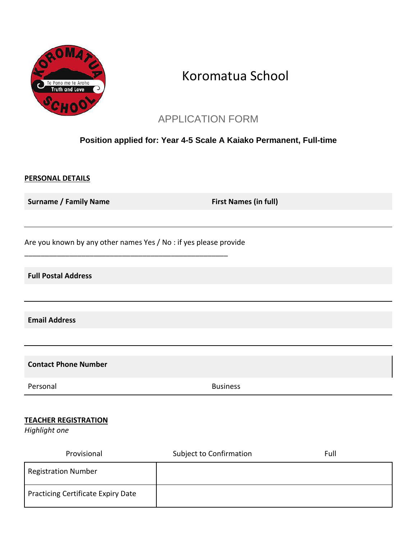

# Koromatua School

# APPLICATION FORM

## **Position applied for: Year 4-5 Scale A Kaiako Permanent, Full-time**

### **PERSONAL DETAILS**

**Surname / Family Name First Names (in full)** 

Are you known by any other names Yes / No : if yes please provide

\_\_\_\_\_\_\_\_\_\_\_\_\_\_\_\_\_\_\_\_\_\_\_\_\_\_\_\_\_\_\_\_\_\_\_\_\_\_\_\_\_\_\_\_\_\_\_\_\_\_

**Full Postal Address**

**Email Address**

**Contact Phone Number** 

Personal **Business** 

### **TEACHER REGISTRATION**

*Highlight one*

| Provisional                        | <b>Subject to Confirmation</b> | Full |
|------------------------------------|--------------------------------|------|
| <b>Registration Number</b>         |                                |      |
| Practicing Certificate Expiry Date |                                |      |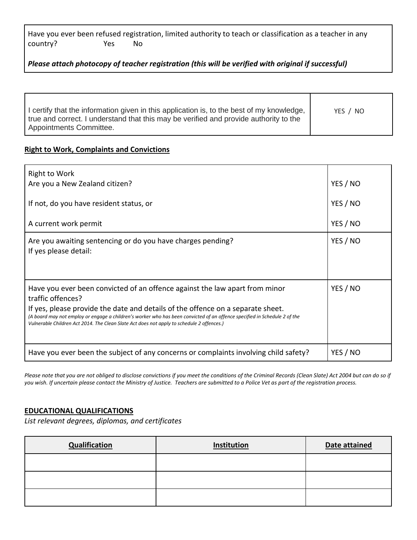|          |     | Have you ever been refused registration, limited authority to teach or classification as a teacher in any |  |
|----------|-----|-----------------------------------------------------------------------------------------------------------|--|
| country? | Yes | N٥                                                                                                        |  |

*Please attach photocopy of teacher registration (this will be verified with original if successful)*

| I certify that the information given in this application is, to the best of my knowledge,<br>true and correct. I understand that this may be verified and provide authority to the<br>Appointments Committee. | YES / NO |
|---------------------------------------------------------------------------------------------------------------------------------------------------------------------------------------------------------------|----------|
|                                                                                                                                                                                                               |          |

#### **Right to Work, Complaints and Convictions**

| <b>Right to Work</b><br>Are you a New Zealand citizen?                                                                                                                                                                                                                                                                                                                                                        | YES / NO |
|---------------------------------------------------------------------------------------------------------------------------------------------------------------------------------------------------------------------------------------------------------------------------------------------------------------------------------------------------------------------------------------------------------------|----------|
| If not, do you have resident status, or                                                                                                                                                                                                                                                                                                                                                                       | YES / NO |
|                                                                                                                                                                                                                                                                                                                                                                                                               | YES / NO |
| A current work permit                                                                                                                                                                                                                                                                                                                                                                                         |          |
| Are you awaiting sentencing or do you have charges pending?<br>If yes please detail:                                                                                                                                                                                                                                                                                                                          | YES / NO |
| Have you ever been convicted of an offence against the law apart from minor<br>traffic offences?<br>If yes, please provide the date and details of the offence on a separate sheet.<br>(A board may not employ or engage a children's worker who has been convicted of an offence specified in Schedule 2 of the<br>Vulnerable Children Act 2014. The Clean Slate Act does not apply to schedule 2 offences.) | YES / NO |
| Have you ever been the subject of any concerns or complaints involving child safety?                                                                                                                                                                                                                                                                                                                          | YES / NO |

*Please note that you are not obliged to disclose convictions if you meet the conditions of the Criminal Records (Clean Slate) Act 2004 but can do so if you wish. If uncertain please contact the Ministry of Justice. Teachers are submitted to a Police Vet as part of the registration process.*

#### **EDUCATIONAL QUALIFICATIONS**

*List relevant degrees, diplomas, and certificates*

| <b>Qualification</b> | Institution | Date attained |
|----------------------|-------------|---------------|
|                      |             |               |
|                      |             |               |
|                      |             |               |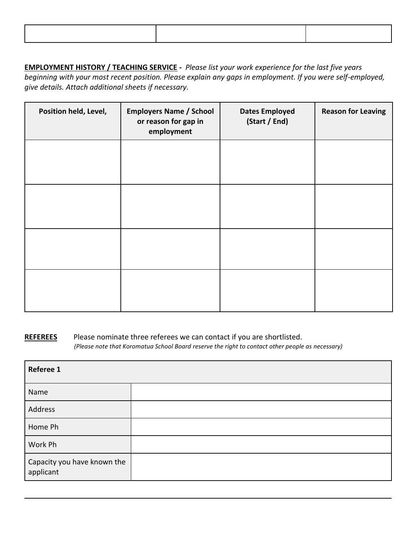**EMPLOYMENT HISTORY / TEACHING SERVICE -** *Please list your work experience for the last five years beginning with your most recent position. Please explain any gaps in employment. If you were self-employed, give details. Attach additional sheets if necessary.*

| Position held, Level, | <b>Employers Name / School</b><br>or reason for gap in<br>employment | <b>Dates Employed</b><br>(Start / End) | <b>Reason for Leaving</b> |
|-----------------------|----------------------------------------------------------------------|----------------------------------------|---------------------------|
|                       |                                                                      |                                        |                           |
|                       |                                                                      |                                        |                           |
|                       |                                                                      |                                        |                           |
|                       |                                                                      |                                        |                           |

**REFEREES** Please nominate three referees we can contact if you are shortlisted. *(Please note that Koromatua School Board reserve the right to contact other people as necessary)*

| Referee 1                                |  |
|------------------------------------------|--|
| Name                                     |  |
| Address                                  |  |
| Home Ph                                  |  |
| Work Ph                                  |  |
| Capacity you have known the<br>applicant |  |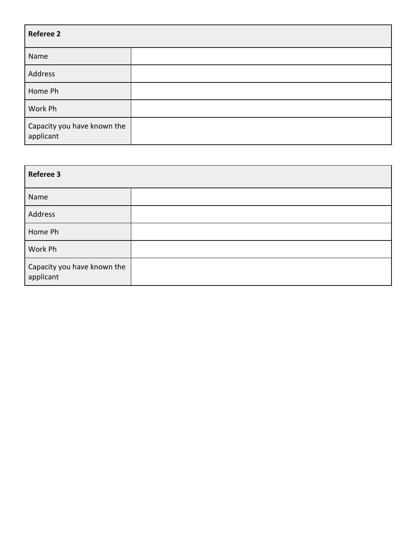| <b>Referee 2</b>                         |  |  |
|------------------------------------------|--|--|
| Name                                     |  |  |
| Address                                  |  |  |
| Home Ph                                  |  |  |
| Work Ph                                  |  |  |
| Capacity you have known the<br>applicant |  |  |

| <b>Referee 3</b>                         |  |
|------------------------------------------|--|
| Name                                     |  |
| Address                                  |  |
| Home Ph                                  |  |
| Work Ph                                  |  |
| Capacity you have known the<br>applicant |  |